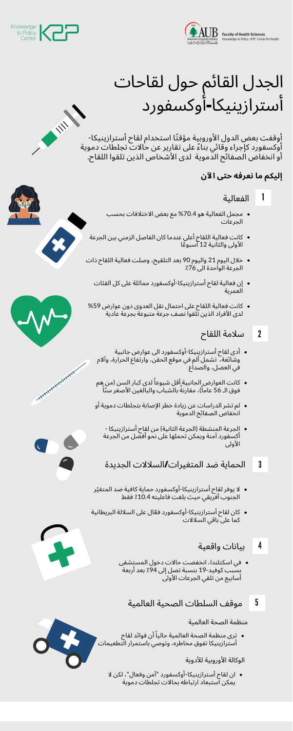

Faculty of Health Sciences<br>Knowledge to Policy | K2P | Center for Health



# الجدل القائم حول لقاحات أسترازينيكا**-**أوكسفورد

أوقفت بعض الدول الأوروبية مؤقتًا استخدام لقاح أسترازينيكا-أوكسفورد كإجراء وقائي بنا ًء على تقارير عن حالات تجلطات دموية أو انخفاض الصفائح الدموية لدى الأشخاص الذين تلقوا اللقاح.

#### **إليكم ما نعرفه حتى الآن**

ترى منظمة الصحة العالمية حالياً أن فوائد لقاح أسترازينيكا تفوق مخاطره، وتوصي باستمرار التطعيمات

- مجمل الفعالية هو %70.4 مع بعض الاختلافات بحسب الجرعات
- كانت فعالية اللقاح أعلى عندما كان الفاصل الزمني بين الجرعة الأولى والثانية 12 أسبو ًعا
- خلال اليوم 21 واليوم 90 بعد التلقيح، وصلت فعالية اللقاح ذات الجرعة الواحدة الى ٪76
	- إن فعالية لقاح أسترازينيكا-أوكسفورد مماثلة على كل الفئات العمرية
- كانت فعالية اللقاح على احتمال نقل العدوى دون عوارض %59 لدى الأفراد الذين تلقوا نصف جرعة متبوعة بجرعة عادية

#### 1 الفعالية

- أدى لقاح أسترازينيكا-أوكسفورد الى عوارض جانبية وشائعة، تشمل ألم في موقع الحقن، وارتفاع الحرارة، وآلام في العضل، والصداع
- كانت العوارض ٍالجانبية ٍأقل شيوعاً لدى كبار السن (من هِم فوق الـ 56 عاماً)، مقارنةً بالشباب والبالغين الأصغر سنّاً
- لم تشر الدراسات عن زيادة خطر الإصابة بتجلطات دموية أو انخفاض الصفائح الدموية
	- الجرعة المنشطة (الجرعة الثانية) من لقاح أسترازينيكا أكسفورد آمنة ويمكن تحملها على نحو أفضل من الجرعة الأولى



- لا يوفر لقاح أسترازينيكا-أوكسفورد حماية كافية ضد المتغّير الجنوب أفريقي حيث بلغت فاعليته ٪10.4 فقط
- كان لقاح أسترازينيكا-أوكسفورد ف ّعال على السلالة البريطانية كما على باقي السلالات
	- 4بيانات واقعية
	- في اسكتلندا، انخفضت حالات دخول المستشفى بسبب كوفيد-19 بنسبة تصل إلى 94٪ بعد أربعة أسابيع من تلقي الجرعات الأولى
		- 5 موقف السلطات الصحية العالمية

ان لقاح أسترازينيكا-أوكسفورد "آمن وفعال"، لكن لا يمكن استبعاد ارتباطه بحالات تجلطات دموية







**HARALA ARANTHALANT** 

### 2 سلامة اللقاح

3 الحماية ضد المتغيرات**/**السلالات الجديدة

منظمة الصحة العالمية

الوكالة الأوروبية للأدوية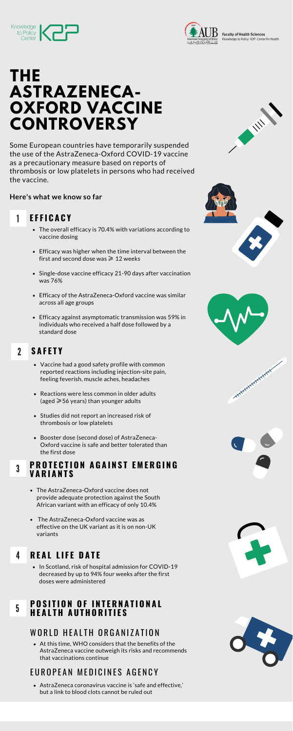



**Faculty of Health Sciences** Knowledge to Policy | K2P | Center for Health

**CONTRACTOR** 

## **THE ASTRAZENECA-OXFORD VACCINE CONTROVERSY**

Some European countries have temporarily suspended the use of the AstraZeneca-Oxford COVID-19 vaccine as a precautionary measure based on reports of thrombosis or low platelets in persons who had received the vaccine.

#### **Here's what we know so far**

#### 1 **E F F I C A C Y**

- The overall efficacy is 70.4% with variations according to vaccine dosing
- Efficacy was higher when the time interval between the first and second dose was  $\geq 12$  weeks
- Single-dose vaccine efficacy 21-90 days after vaccination was 76%
- Efficacy of the AstraZeneca-Oxford vaccine was similar across all age groups
- Efficacy against asymptomatic transmission was 59% in individuals who received a half dose followed by a standard dose

#### 2 **S A F E T Y**

#### 3 **P R O T E C T I O N A G A I N S T E M E R G I N G V A R I A N T S**

At this time, WHO considers that the benefits of the AstraZeneca vaccine outweigh its risks and recommends that vaccinations continue

## EUROPEAN MEDICINES AGENCY

• In Scotland, risk of hospital admission for COVID-19 decreased by up to 94% four weeks after the first doses were administered

- Vaccine had a good safety profile with common reported reactions including injection-site pain, feeling feverish, muscle aches, headaches
- Reactions were less common in older adults (aged  $\geqslant$  56 years) than younger adults
- Studies did not report an increased risk of thrombosis or low platelets
- Booster dose (second dose) of AstraZeneca-







**HARALANA ARANALIST AND REAL PROPERTY** 

Oxford vaccine is safe and better tolerated than the first dose

#### 5 **P O S I T I O N O F I N T E R N A T I O N A L H E A L T H A U T H O R I T I E S**

## WORLD HEALTH ORGANIZATION

- The AstraZeneca-Oxford vaccine does not provide adequate protection against the South African variant with an efficacy of only 10.4%
- The AstraZeneca-Oxford vaccine was as effective on the UK variant as it is on non-UK variants

AstraZeneca coronavirus vaccine is 'safe and effective,' but a link to blood clots cannot be ruled out





## 4 **R E A L L I F E D A T E**